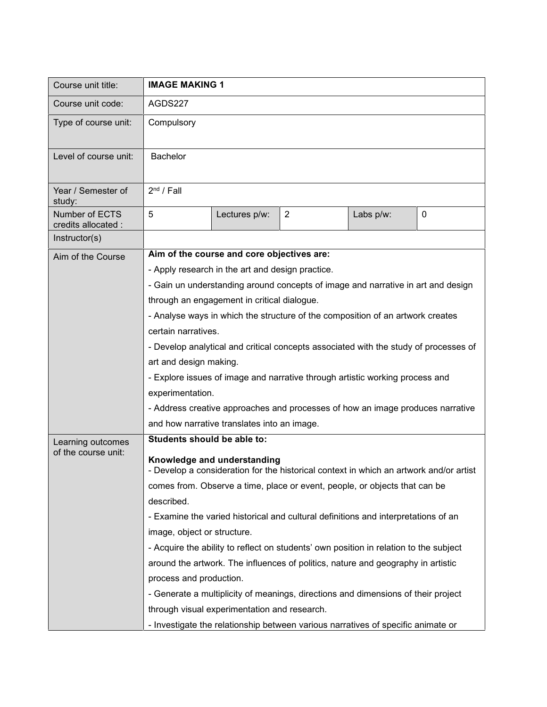| Course unit title:                       | <b>IMAGE MAKING 1</b>                                                                                                                                                                                             |                                                                                  |                                                                                  |           |   |  |
|------------------------------------------|-------------------------------------------------------------------------------------------------------------------------------------------------------------------------------------------------------------------|----------------------------------------------------------------------------------|----------------------------------------------------------------------------------|-----------|---|--|
| Course unit code:                        | AGDS227                                                                                                                                                                                                           |                                                                                  |                                                                                  |           |   |  |
| Type of course unit:                     | Compulsory                                                                                                                                                                                                        |                                                                                  |                                                                                  |           |   |  |
| Level of course unit:                    | <b>Bachelor</b>                                                                                                                                                                                                   |                                                                                  |                                                                                  |           |   |  |
| Year / Semester of<br>study:             | 2 <sup>nd</sup> / Fall                                                                                                                                                                                            |                                                                                  |                                                                                  |           |   |  |
| Number of ECTS<br>credits allocated :    | 5                                                                                                                                                                                                                 | Lectures p/w:                                                                    | $\overline{2}$                                                                   | Labs p/w: | 0 |  |
| Instructor(s)                            |                                                                                                                                                                                                                   |                                                                                  |                                                                                  |           |   |  |
| Aim of the Course                        | Aim of the course and core objectives are:                                                                                                                                                                        |                                                                                  |                                                                                  |           |   |  |
|                                          |                                                                                                                                                                                                                   | - Apply research in the art and design practice.                                 |                                                                                  |           |   |  |
|                                          | - Gain un understanding around concepts of image and narrative in art and design<br>through an engagement in critical dialogue.<br>- Analyse ways in which the structure of the composition of an artwork creates |                                                                                  |                                                                                  |           |   |  |
|                                          |                                                                                                                                                                                                                   |                                                                                  |                                                                                  |           |   |  |
|                                          |                                                                                                                                                                                                                   |                                                                                  |                                                                                  |           |   |  |
|                                          | certain narratives.                                                                                                                                                                                               |                                                                                  |                                                                                  |           |   |  |
|                                          | - Develop analytical and critical concepts associated with the study of processes of<br>art and design making.                                                                                                    |                                                                                  |                                                                                  |           |   |  |
|                                          |                                                                                                                                                                                                                   |                                                                                  |                                                                                  |           |   |  |
|                                          | - Explore issues of image and narrative through artistic working process and                                                                                                                                      |                                                                                  |                                                                                  |           |   |  |
|                                          | experimentation.                                                                                                                                                                                                  |                                                                                  |                                                                                  |           |   |  |
|                                          | - Address creative approaches and processes of how an image produces narrative                                                                                                                                    |                                                                                  |                                                                                  |           |   |  |
|                                          | and how narrative translates into an image.                                                                                                                                                                       |                                                                                  |                                                                                  |           |   |  |
| Learning outcomes<br>of the course unit: | Students should be able to:                                                                                                                                                                                       |                                                                                  |                                                                                  |           |   |  |
|                                          | Knowledge and understanding<br>- Develop a consideration for the historical context in which an artwork and/or artist                                                                                             |                                                                                  |                                                                                  |           |   |  |
|                                          | comes from. Observe a time, place or event, people, or objects that can be                                                                                                                                        |                                                                                  |                                                                                  |           |   |  |
|                                          | described.                                                                                                                                                                                                        |                                                                                  |                                                                                  |           |   |  |
|                                          | - Examine the varied historical and cultural definitions and interpretations of an                                                                                                                                |                                                                                  |                                                                                  |           |   |  |
|                                          | image, object or structure.                                                                                                                                                                                       |                                                                                  |                                                                                  |           |   |  |
|                                          | - Acquire the ability to reflect on students' own position in relation to the subject                                                                                                                             |                                                                                  |                                                                                  |           |   |  |
|                                          |                                                                                                                                                                                                                   | around the artwork. The influences of politics, nature and geography in artistic |                                                                                  |           |   |  |
|                                          | process and production.                                                                                                                                                                                           |                                                                                  |                                                                                  |           |   |  |
|                                          | - Generate a multiplicity of meanings, directions and dimensions of their project                                                                                                                                 |                                                                                  |                                                                                  |           |   |  |
|                                          | through visual experimentation and research.                                                                                                                                                                      |                                                                                  |                                                                                  |           |   |  |
|                                          |                                                                                                                                                                                                                   |                                                                                  | - Investigate the relationship between various narratives of specific animate or |           |   |  |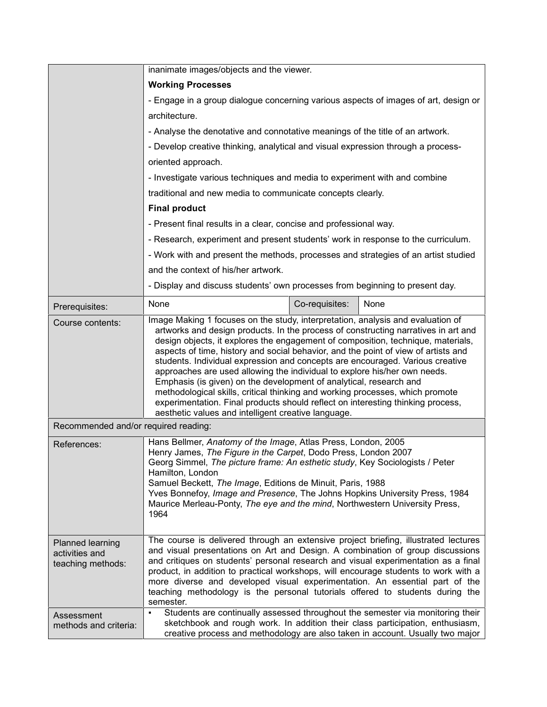|                                                         | inanimate images/objects and the viewer.                                                                                                                                                                                                                                                                                                                                                                                                                                                                                                                                                                                                                                                                                                                                                                       |                |      |  |  |  |
|---------------------------------------------------------|----------------------------------------------------------------------------------------------------------------------------------------------------------------------------------------------------------------------------------------------------------------------------------------------------------------------------------------------------------------------------------------------------------------------------------------------------------------------------------------------------------------------------------------------------------------------------------------------------------------------------------------------------------------------------------------------------------------------------------------------------------------------------------------------------------------|----------------|------|--|--|--|
|                                                         | <b>Working Processes</b>                                                                                                                                                                                                                                                                                                                                                                                                                                                                                                                                                                                                                                                                                                                                                                                       |                |      |  |  |  |
|                                                         | - Engage in a group dialogue concerning various aspects of images of art, design or                                                                                                                                                                                                                                                                                                                                                                                                                                                                                                                                                                                                                                                                                                                            |                |      |  |  |  |
|                                                         | architecture.                                                                                                                                                                                                                                                                                                                                                                                                                                                                                                                                                                                                                                                                                                                                                                                                  |                |      |  |  |  |
|                                                         | - Analyse the denotative and connotative meanings of the title of an artwork.                                                                                                                                                                                                                                                                                                                                                                                                                                                                                                                                                                                                                                                                                                                                  |                |      |  |  |  |
|                                                         | - Develop creative thinking, analytical and visual expression through a process-                                                                                                                                                                                                                                                                                                                                                                                                                                                                                                                                                                                                                                                                                                                               |                |      |  |  |  |
|                                                         | oriented approach.                                                                                                                                                                                                                                                                                                                                                                                                                                                                                                                                                                                                                                                                                                                                                                                             |                |      |  |  |  |
|                                                         | - Investigate various techniques and media to experiment with and combine                                                                                                                                                                                                                                                                                                                                                                                                                                                                                                                                                                                                                                                                                                                                      |                |      |  |  |  |
|                                                         | traditional and new media to communicate concepts clearly.                                                                                                                                                                                                                                                                                                                                                                                                                                                                                                                                                                                                                                                                                                                                                     |                |      |  |  |  |
|                                                         | <b>Final product</b>                                                                                                                                                                                                                                                                                                                                                                                                                                                                                                                                                                                                                                                                                                                                                                                           |                |      |  |  |  |
|                                                         | - Present final results in a clear, concise and professional way.<br>- Research, experiment and present students' work in response to the curriculum.                                                                                                                                                                                                                                                                                                                                                                                                                                                                                                                                                                                                                                                          |                |      |  |  |  |
|                                                         |                                                                                                                                                                                                                                                                                                                                                                                                                                                                                                                                                                                                                                                                                                                                                                                                                |                |      |  |  |  |
|                                                         | - Work with and present the methods, processes and strategies of an artist studied                                                                                                                                                                                                                                                                                                                                                                                                                                                                                                                                                                                                                                                                                                                             |                |      |  |  |  |
|                                                         | and the context of his/her artwork.<br>- Display and discuss students' own processes from beginning to present day.                                                                                                                                                                                                                                                                                                                                                                                                                                                                                                                                                                                                                                                                                            |                |      |  |  |  |
|                                                         |                                                                                                                                                                                                                                                                                                                                                                                                                                                                                                                                                                                                                                                                                                                                                                                                                |                |      |  |  |  |
| Prerequisites:                                          | None                                                                                                                                                                                                                                                                                                                                                                                                                                                                                                                                                                                                                                                                                                                                                                                                           | Co-requisites: | None |  |  |  |
| Course contents:                                        | Image Making 1 focuses on the study, interpretation, analysis and evaluation of<br>artworks and design products. In the process of constructing narratives in art and<br>design objects, it explores the engagement of composition, technique, materials,<br>aspects of time, history and social behavior, and the point of view of artists and<br>students. Individual expression and concepts are encouraged. Various creative<br>approaches are used allowing the individual to explore his/her own needs.<br>Emphasis (is given) on the development of analytical, research and<br>methodological skills, critical thinking and working processes, which promote<br>experimentation. Final products should reflect on interesting thinking process,<br>aesthetic values and intelligent creative language. |                |      |  |  |  |
| Recommended and/or required reading:                    |                                                                                                                                                                                                                                                                                                                                                                                                                                                                                                                                                                                                                                                                                                                                                                                                                |                |      |  |  |  |
| References:                                             | Hans Bellmer, Anatomy of the Image, Atlas Press, London, 2005<br>Henry James, The Figure in the Carpet, Dodo Press, London 2007<br>Georg Simmel, The picture frame: An esthetic study, Key Sociologists / Peter<br>Hamilton, London<br>Samuel Beckett, The Image, Editions de Minuit, Paris, 1988<br>Yves Bonnefoy, Image and Presence, The Johns Hopkins University Press, 1984<br>Maurice Merleau-Ponty, The eye and the mind, Northwestern University Press,<br>1964                                                                                                                                                                                                                                                                                                                                        |                |      |  |  |  |
| Planned learning<br>activities and<br>teaching methods: | The course is delivered through an extensive project briefing, illustrated lectures<br>and visual presentations on Art and Design. A combination of group discussions<br>and critiques on students' personal research and visual experimentation as a final<br>product, in addition to practical workshops, will encourage students to work with a<br>more diverse and developed visual experimentation. An essential part of the<br>teaching methodology is the personal tutorials offered to students during the<br>semester.                                                                                                                                                                                                                                                                                |                |      |  |  |  |
| Assessment<br>methods and criteria:                     | Students are continually assessed throughout the semester via monitoring their<br>٠<br>sketchbook and rough work. In addition their class participation, enthusiasm,<br>creative process and methodology are also taken in account. Usually two major                                                                                                                                                                                                                                                                                                                                                                                                                                                                                                                                                          |                |      |  |  |  |